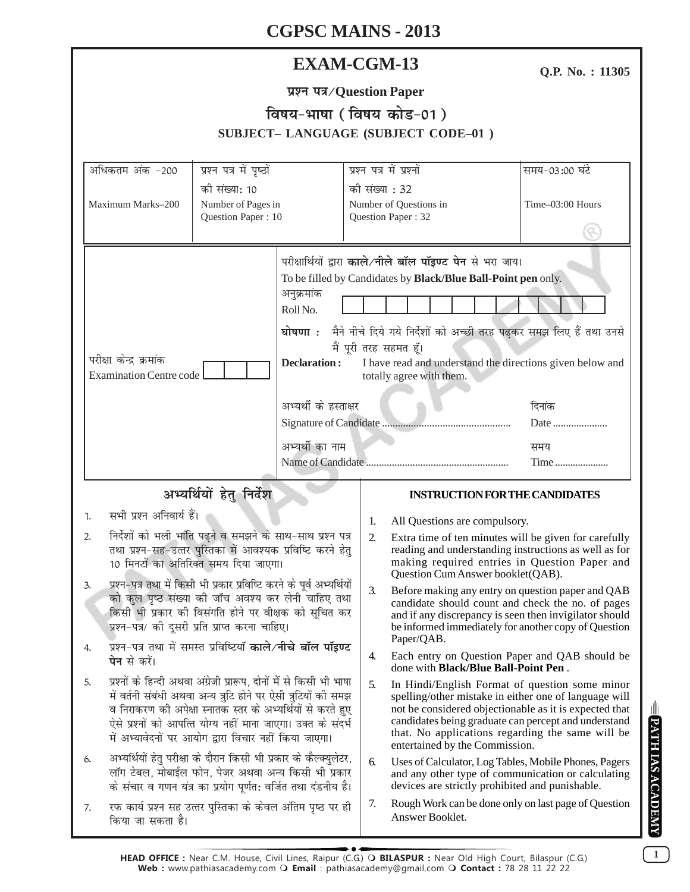# **EXAM-CGM-13**

Q.P. No.: 11305

|  | प्रश्न पत्र/Question Paper |  |
|--|----------------------------|--|
|--|----------------------------|--|

# विषय-भाषा (विषय कोड-01)

|                                                                                                                                                                                                                                                                                                                                                                                                                             |                                                                                                                                                                                                                                                                                                                                |                                               |                                                                                                                                                                                                                                                                                                                                                                                                                                  | <b>SUBJECT-LANGUAGE (SUBJECT CODE-01)</b>                                                                                                                                                                                                                                                                                      |                               |
|-----------------------------------------------------------------------------------------------------------------------------------------------------------------------------------------------------------------------------------------------------------------------------------------------------------------------------------------------------------------------------------------------------------------------------|--------------------------------------------------------------------------------------------------------------------------------------------------------------------------------------------------------------------------------------------------------------------------------------------------------------------------------|-----------------------------------------------|----------------------------------------------------------------------------------------------------------------------------------------------------------------------------------------------------------------------------------------------------------------------------------------------------------------------------------------------------------------------------------------------------------------------------------|--------------------------------------------------------------------------------------------------------------------------------------------------------------------------------------------------------------------------------------------------------------------------------------------------------------------------------|-------------------------------|
| अधिकतम अंक -200                                                                                                                                                                                                                                                                                                                                                                                                             | प्रश्न पत्र में पृष्ठों                                                                                                                                                                                                                                                                                                        |                                               |                                                                                                                                                                                                                                                                                                                                                                                                                                  | प्रश्न पत्र में प्रश्नों                                                                                                                                                                                                                                                                                                       | समय-03:00 घंटे                |
| Maximum Marks-200                                                                                                                                                                                                                                                                                                                                                                                                           | की संख्या: 10<br>Number of Pages in<br>Question Paper: 10                                                                                                                                                                                                                                                                      |                                               | की संख्या : 32                                                                                                                                                                                                                                                                                                                                                                                                                   | Number of Questions in<br>Question Paper: 32                                                                                                                                                                                                                                                                                   | Time-03:00 Hours              |
| परीक्षा केन्द्र क्रमांक<br><b>Examination Centre code</b>                                                                                                                                                                                                                                                                                                                                                                   |                                                                                                                                                                                                                                                                                                                                | अनुक्रमांक<br>Roll No.<br><b>Declaration:</b> |                                                                                                                                                                                                                                                                                                                                                                                                                                  | परीक्षार्थियों द्वारा काले/नीले बॉल पॉइण्ट पेन से भरा जाय।<br>To be filled by Candidates by Black/Blue Ball-Point pen only.<br>घोषणा : मैने नीचे दिये गये निर्देशों को अच्छी तरह पढ़कर समझ लिए हैं तथा उनसे<br>मैं पूरी तरह सहमत हूँ।<br>I have read and understand the directions given below and<br>totally agree with them. |                               |
|                                                                                                                                                                                                                                                                                                                                                                                                                             |                                                                                                                                                                                                                                                                                                                                | अभ्यर्थी के हस्ताक्षर<br>अभ्यर्थी का नाम      |                                                                                                                                                                                                                                                                                                                                                                                                                                  |                                                                                                                                                                                                                                                                                                                                | दिनांक<br>Date<br>समय<br>Time |
|                                                                                                                                                                                                                                                                                                                                                                                                                             | अभ्यर्थियों हेतु निर्देश                                                                                                                                                                                                                                                                                                       |                                               |                                                                                                                                                                                                                                                                                                                                                                                                                                  | <b>INSTRUCTION FOR THE CANDIDATES</b>                                                                                                                                                                                                                                                                                          |                               |
| सभी प्रश्न अनिवार्य हैं।<br>1.                                                                                                                                                                                                                                                                                                                                                                                              |                                                                                                                                                                                                                                                                                                                                |                                               | 1.                                                                                                                                                                                                                                                                                                                                                                                                                               | All Questions are compulsory.                                                                                                                                                                                                                                                                                                  |                               |
| निर्देशों को भली भांति पढ़ने व समझने के साथ-साथ प्रश्न पत्र<br>2.<br>तथा प्रश्न-सह-उत्तर पुस्तिका में आवश्यक प्रविष्टि करने हेतु<br>10 मिनटों का अतिरिक्त समय दिया जाएगा।<br>प्रश्न-पत्र तथा में किसी भी प्रकार प्रविष्टि करने के पूर्व अभ्यर्थियों<br>3.<br>को कुल पृष्ठ संख्या की जाँच अवश्य कर लेनी चाहिए तथा<br>किसी भी प्रकार की विसंगति होने पर वीक्षक को सूचित कर<br>प्रश्न-पत्र/ की दूसरी प्रति प्राप्त करना चाहिए। |                                                                                                                                                                                                                                                                                                                                | 2.<br>3.                                      | Extra time of ten minutes will be given for carefully<br>reading and understanding instructions as well as for<br>making required entries in Question Paper and<br>Question Cum Answer booklet(QAB).<br>Before making any entry on question paper and QAB<br>candidate should count and check the no. of pages<br>and if any discrepancy is seen then invigilator should<br>be informed immediately for another copy of Question |                                                                                                                                                                                                                                                                                                                                |                               |
| 4.<br><b>पेन</b> से करें।                                                                                                                                                                                                                                                                                                                                                                                                   | प्रश्न-पत्र तथा में समस्त प्रविष्टियाँ <b>काले⁄नीचे बॉल पॉइण्ट</b>                                                                                                                                                                                                                                                             |                                               | 4.                                                                                                                                                                                                                                                                                                                                                                                                                               | Paper/QAB.<br>Each entry on Question Paper and QAB should be<br>done with Black/Blue Ball-Point Pen.                                                                                                                                                                                                                           |                               |
| 5.                                                                                                                                                                                                                                                                                                                                                                                                                          | प्रश्नों के हिन्दी अथवा अंग्रेजी प्रारूप, दोनों में से किसी भी भाषा<br>में वर्तनी संबंधी अथवा अन्य त्रुटि होने पर ऐसी त्रुटियों की समझ<br>व निराकरण की अपेक्षा स्नातक स्तर के अभ्यर्थियों से करते हुए<br>ऐसे प्रश्नों को आपत्ति योग्य नहीं माना जाएगा। उक्त के संदर्भ<br>में अभ्यावेदनों पर आयोग द्वारा विचार नहीं किया जाएगा। |                                               | 5.                                                                                                                                                                                                                                                                                                                                                                                                                               | In Hindi/English Format of question some minor<br>spelling/other mistake in either one of language will<br>not be considered objectionable as it is expected that<br>candidates being graduate can percept and understand<br>that. No applications regarding the same will be<br>entertained by the Commission.                |                               |
| 6.                                                                                                                                                                                                                                                                                                                                                                                                                          | अभ्यर्थियों हेतु परीक्षा के दौरान किसी भी प्रकार के कैल्क्युलेटर,<br>लॉग टेबल, मोबाईल फोन, पेजर अथवा अन्य किसी भी प्रकार<br>के संचार व गणन यंत्र का प्रयोग पूर्णत: वर्जित तथा दंडनीय है।                                                                                                                                       |                                               | 6.                                                                                                                                                                                                                                                                                                                                                                                                                               | Uses of Calculator, Log Tables, Mobile Phones, Pagers<br>and any other type of communication or calculating<br>devices are strictly prohibited and punishable.                                                                                                                                                                 |                               |
| 7.<br>किया जा सकता है।                                                                                                                                                                                                                                                                                                                                                                                                      | रफ कार्य प्रश्न सह उत्तर पुस्तिका के केवल अंतिम पृष्ठ पर ही                                                                                                                                                                                                                                                                    |                                               | 7.                                                                                                                                                                                                                                                                                                                                                                                                                               | Rough Work can be done only on last page of Question<br>Answer Booklet.                                                                                                                                                                                                                                                        |                               |

 $\boxed{1}$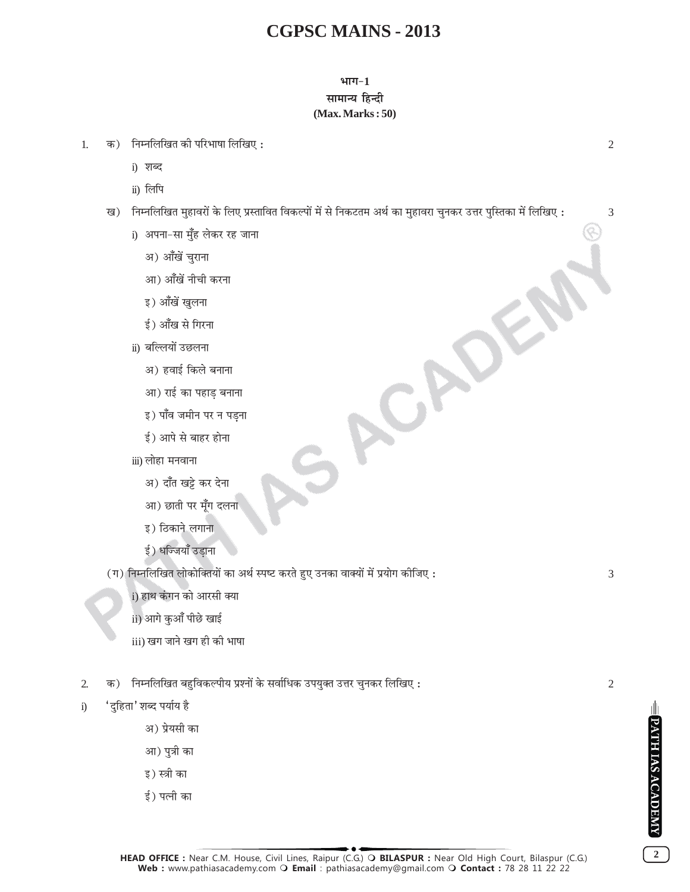#### भाग $-1$ सामान्य हिन्दी  $(Max. Marks:50)$

- क) निम्नलिखित की परिभाषा लिखिए: 1.
	- i) शब्द
	- ii) लिपि
	- ख) निम्नलिखित मुहावरों के लिए प्रस्तावित विकल्पों में से निकटतम अर्थ का मुहावरा चुनकर उत्तर पुस्तिका में लिखिए :

ACADEL

- i) अपना-सा मुँह लेकर रह जाना
	- अ) आँखें चराना
	- आ) आँखें नीची करना
	- इ) आँखें खुलना
	- ई) आँख से गिरना
- ii) बल्लियों उछलना
	- अ) हवाई किले बनाना
	- आ) राई का पहाड बनाना
	- इ) पाँव जमीन पर न पडना
	- ई) आपे से बाहर होना
- iii) लोहा मनवाना
	- अ) दाँत खड़े कर देना
	- आ) छाती पर मूँग दलना
	- इ) ठिकाने लगाना
	- ई) धज्जियाँ उडाना

(ग) निम्नलिखित लोकोक्तियों का अर्थ स्पष्ट करते हुए उनका वाक्यों में प्रयोग कीजिए :

i) हाथ कंगन को आरसी क्या

- ii) आगे कुआँ पीछे खाई
- iii) खग जाने खग ही की भाषा
- क) निम्नलिखित बहुविकल्पीय प्रश्नों के सर्वाधिक उपयुक्त उत्तर चुनकर लिखिए :  $\overline{2}$
- 'दुहिता' शब्द पर्याय है  $i)$ 
	- अ) प्रेयसी का
	- आ) पुत्री का
	- इ) स्त्री का
	- ई) पत्नी का

3

 $\overline{2}$ 

PATH IAS ACADEMY

 $\overline{2}$ 

 $\overline{2}$ 

3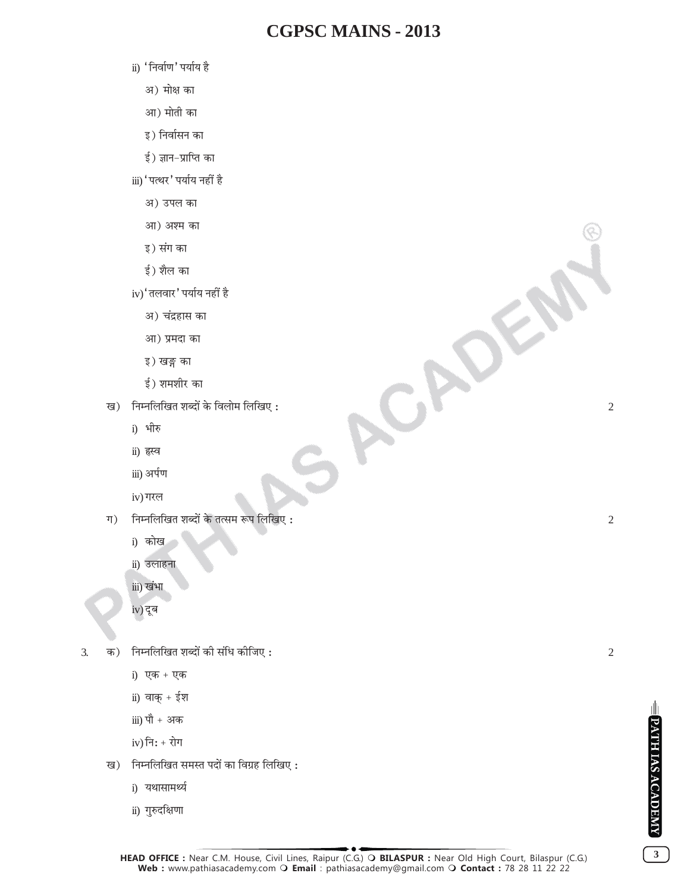ACADE

- ii) 'निर्वाण' पर्याय है
	- अ) मोक्ष का
	- आ) मोती का
	- इ) निर्वासन का
	- ई) ज्ञान-प्राप्ति का
- iii) 'पत्थर' पर्याय नहीं है
	- अ) उपल का
	- आ) अश्म का
	- इ) संग का
	- ई) शैल का
- iv)' तलवार' पर्याय नहीं है
	- अ) चंद्रहास का
	- आ) प्रमदा का
	- इ) खङ्ग का
	- ई) शमशीर का
- ख) निम्नलिखित शब्दों के विलोम लिखिए:
	- i) भीरु
	- ii) हस्व
	- iii) अर्पण
	- iv) गरल
- ग $)$ निम्नलिखित शब्दों के तत्सम रूप लिखिए :
	- i) कोख
	- ii) उलाहना
	- iii) खंभा
	- iv) दूब
- क) निम्नलिखित शब्दों की संधि कीजिए:  $\overline{3}$ .
	- i) एक + एक
	- ii) वाक् $+$ ईश
	- iii) पौ + अक
	- $iv)$  नि: + रोग
	- ख) निम्नलिखित समस्त पदों का विग्रह लिखिए:
		- i) यथासामर्थ्य
		- ii) गुरुदक्षिणा

 $\overline{2}$ 

 $\overline{2}$ 



 $3<sup>7</sup>$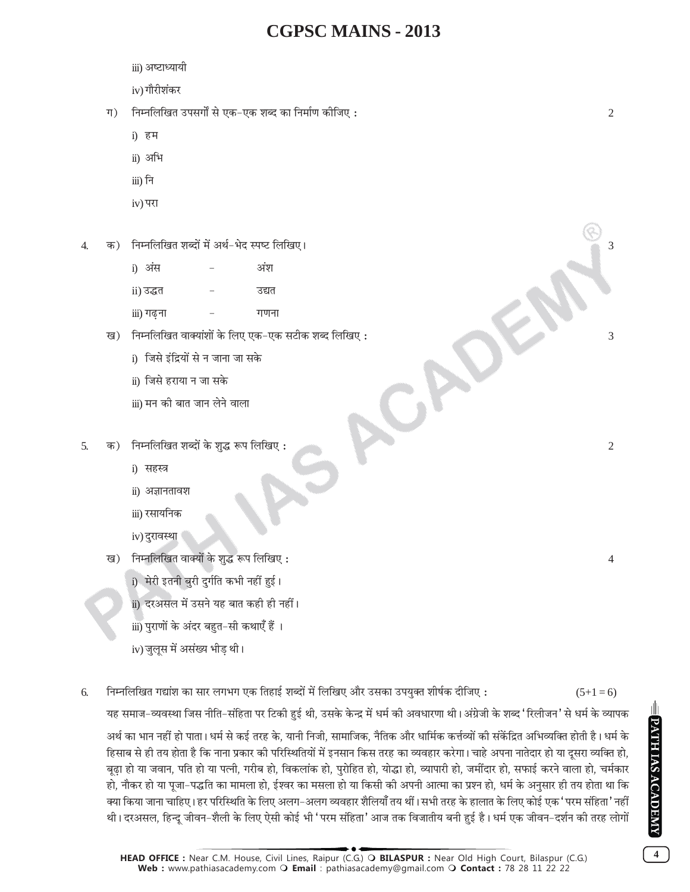- iii) अष्टाध्यायी
- iv) गौरीशंकर
- ग) निम्नलिखित उपसर्गों से एक-एक शब्द का निर्माण कीजिए:
	- i) हम
	- ii) अभि
	- iii) नि
	- iv) परा
- क) निम्नलिखित शब्दों में अर्थ-भेद स्पष्ट लिखिए।  $\overline{\mathcal{A}}$ 
	- i) अंस अंश ii) उद्धत उद्यत iii) गढ़ना गणना
	- ख) निम्नलिखित वाक्यांशों के लिए एक-एक सटीक शब्द लिखिए:
		- i) जिसे इंद्रियों से न जाना जा सके
		- ii) जिसे हराया न जा सके
		- iii) मन की बात जान लेने वाला
- क) निम्नलिखित शब्दों के शुद्ध रूप लिखिए: 5.
	- i) सहस्त्र
	- ii) अज्ञानतावश
	- iii) रसायनिक
	- iv) दुरावस्था
	- ख) निम्नलिखित वाक्यों के शुद्ध रूप लिखिए:
		- i) मेरी इतनी बुरी दुर्गति कभी नहीं हुई।
		- <u>ii) दरअसल में उसने यह बात कही ही नहीं।</u>
		- iii) पुराणों के अंदर बहुत-सी कथाएँ हैं ।
		- iv) जुलुस में असंख्य भीड थी।
- निम्नलिखित गद्यांश का सार लगभग एक तिहाई शब्दों में लिखिए और उसका उपयुक्त शीर्षक दीजिए: 6.  $(5+1=6)$

यह समाज–व्यवस्था जिस नीति–संहिता पर टिकी हुई थी. उसके केन्द्र में धर्म की अवधारणा थी। अंग्रेजी के शब्द 'रिलीजन' से धर्म के व्यापक

CAD

अर्थ का भान नहीं हो पाता। धर्म से कई तरह के, यानी निजी, सामाजिक, नैतिक और धार्मिक कर्त्तव्यों की संकेंद्रित अभिव्यक्ति होती है। धर्म के हिसाब से ही तय होता है कि नाना प्रकार की परिस्थितियों में इनसान किस तरह का व्यवहार करेगा। चाहे अपना नातेदार हो या दसरा व्यक्ति हो. बूढ़ा हो या जवान, पति हो या पत्नी, गरीब हो, विकलांक हो, पुरोहित हो, योद्धा हो, व्यापारी हो, जमींदार हो, सफाई करने वाला हो, चर्मकार हो, नौकर हो या पूजा–पद्धति का मामला हो, ईश्वर का मसला हो या किसी की अपनी आत्मा का प्रश्न हो, धर्म के अनुसार ही तय होता था कि क्या किया जाना चाहिए। हर परिस्थिति के लिए अलग–अलग व्यवहार शैलियाँ तय थीं। सभी तरह के हालात के लिए कोई एक 'परम संहिता' नहीं थी। दरअसल, हिन्दू जीवन–शैली के लिए ऐसी कोई भी 'परम संहिता' आज तक विजातीय बनी हुई है। धर्म एक जीवन–दर्शन की तरह लोगों

 $\overline{2}$ 

3

3

 $\overline{2}$ 

 $\overline{4}$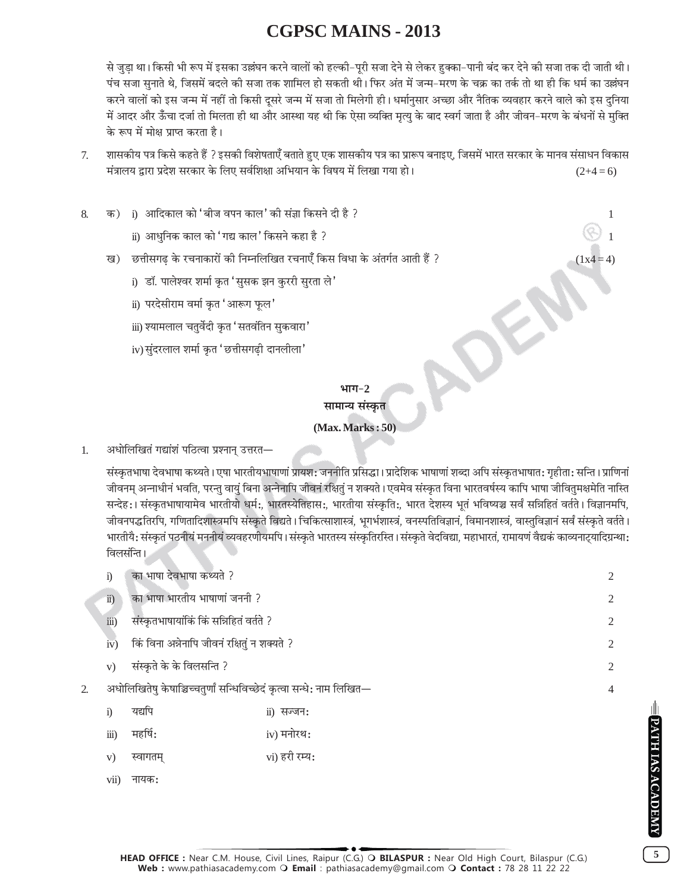से जुडा था। किसी भी रूप में इसका उल्लंघन करने वालों को हल्की–पूरी सजा देने से लेकर हक्का–पानी बंद कर देने की सजा तक दी जाती थी। पंच सजा सुनाते थे, जिसमें बदले की सजा तक शामिल हो सकती थी। फिर अंत में जन्म–मरण के चक्र का तर्क तो था ही कि धर्म का उल्लंघन करने वालों को इस जन्म में नहीं तो किसी दूसरे जन्म में सजा तो मिलेगी ही। धर्मानुसार अच्छा और नैतिक व्यवहार करने वाले को इस दुनिया में आदर और ऊँचा दर्जा तो मिलता ही था और आस्था यह थी कि ऐसा व्यक्ति मृत्यु के बाद स्वर्ग जाता है और जीवन–मरण के बंधनों से मुक्ति के रूप में मोक्ष प्राप्त करता है।

- शासकीय पत्र किसे कहते हैं ? इसकी विशेषताएँ बताते हुए एक शासकीय पत्र का प्रारूप बनाइए, जिसमें भारत सरकार के मानव संसाधन विकास  $7.$ मंत्रालय द्वारा प्रदेश सरकार के लिए सर्वशिक्षा अभियान के विषय में लिखा गया हो।  $(2+4=6)$
- क) i) आदिकाल को 'बीज वपन काल' की संज्ञा किसने दी है ? 8.
	- ii) आधुनिक काल को 'गद्य काल*'* किसने कहा है ?
	- ख) छत्तीसगढ के रचनाकारों की निम्नलिखित रचनाएँ किस विधा के अंतर्गत आती हैं ?
		- i) डॉ. पालेश्वर शर्मा कृत 'सुसक झन कुररी सुरता ले'
		- ii) परदेसीराम वर्मा कृत 'आरूग फूल'
		- iii) श्यामलाल चतुर्वेदी कृत 'सतवंतिन सुकवारा'
		- iv) सुंदरलाल शर्मा कृत 'छत्तीसगढी दानलीला'

#### भाग $-2$ सामान्य संस्कृत

#### $(Max. Marks:50)$

अधोलिखितं गद्यांशं पठित्वा प्रश्नान् उत्तरत—  $\mathbf{1}$ 

> संस्कृतभाषा देवभाषा कथ्यते । एषा भारतीयभाषाणां प्रायश: जननीति प्रसिद्धा । प्रादेशिक भाषाणां शब्दा अपि संस्कृतभाषात: गृहीता: सन्ति । प्राणिनां जीवनम् अन्नाधीनं भवति, परन्तु वायुं बिना अन्नेनापि जीवनं रक्षितुं न शक्यते । एवमेव संस्कृत विना भारतवर्षस्य कापि भाषा जीवितुमक्षमेति नास्ति सन्देह:। संस्कृतभाषायामेव भारतीयो धर्म:, भारतस्येतिहास:, भारतीया संस्कृति:, भारत देशस्य भूतं भविष्यञ्च सर्वं सन्निहितं वर्तते। विज्ञानमपि, जीवनपद्धतिरपि, गणितादिशास्त्रमपि संस्कृते विद्यते । चिकित्साशास्त्रं, भूगर्भशास्त्रं, वनस्पतिविज्ञानं, विमानशास्त्रं, वास्तुविज्ञानं सर्वं संस्कृते वर्तते । भारतीयै: संस्कृतं पठनीयं मननीयं व्यवहरणीयमपि। संस्कृते भारतस्य संस्कृतिरस्ति। संस्कृते वेदविद्या, महाभारतं, रामायणं वैद्यकं काव्यनाट्यादिग्रन्था: विलसंन्ति ।

| $\ddot{1}$             | का भाषा देवभाषा कथ्यते ?                                              |                             |   |  |  |
|------------------------|-----------------------------------------------------------------------|-----------------------------|---|--|--|
| $\ddot{u}$ )           | का भाषा भारतीय भाषाणां जननी ?                                         |                             | 2 |  |  |
| $\dddot{\mathbf{m}}$ ) | संस्कृतभाषायांकिं किं सन्निहितं वर्तते ?                              |                             | 2 |  |  |
| iv)                    | किं विना अन्नेनापि जीवनं रक्षितुं न शक्यते ?                          |                             | 2 |  |  |
| V)                     | संस्कृते के के विलसन्ति ?                                             |                             |   |  |  |
|                        | अधोलिखितेषु केषाञ्चिच्चतुर्णां सन्धिविच्छेदं कृत्वा सन्धे: नाम लिखित— |                             |   |  |  |
| $\ddot{i}$             | यद्यपि                                                                | $\ddot{\text{ii}}$ ) सज्जन: |   |  |  |
| $\dddot{\mathbf{i}}$   | महर्षि:                                                               | iv) मनोरथ:                  |   |  |  |
| V)                     | स्वागतम्                                                              | vi) हरी रम्य:               |   |  |  |

vii) नायक:

 $\overline{2}$ 

 $5<sup>5</sup>$ 

**PATH IAS ACADEMY** 

 $(1x4=4)$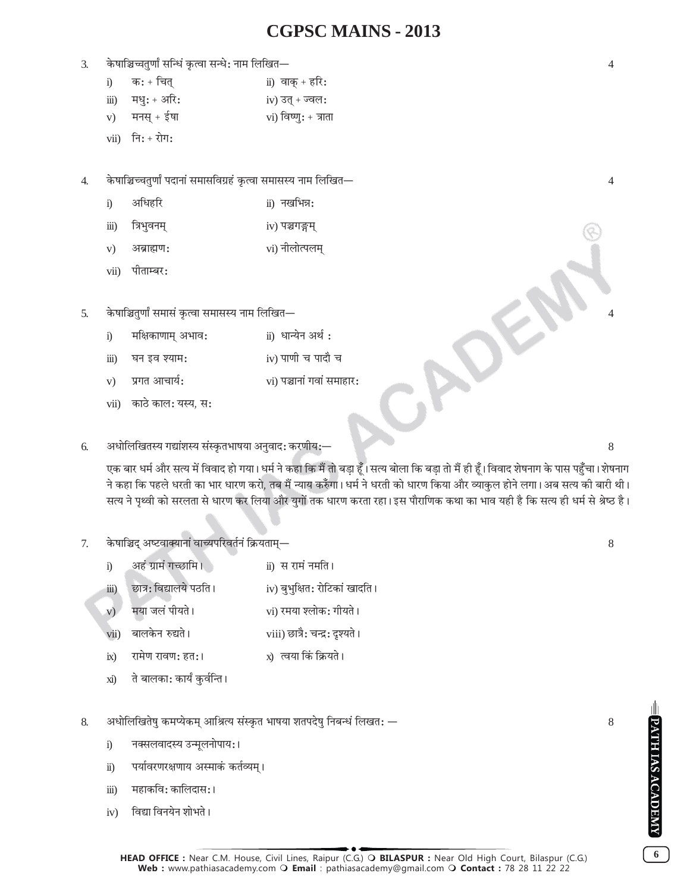#### 3. ∑§·ÊÁ@ìÊÃÈáÊÊZ 'ÁãäÊ¥ ∑ΧàflÊ 'ãäÊ— ŸÊ◊ Á‹ÁπÃó 4

| i) | क: + चित्        | ii) वाक् + हरि:      |
|----|------------------|----------------------|
|    | iii) मधु: + अरि: | $iv)$ उत् + ज्वल:    |
|    | v) मनस् + ईषा    | vi) विष्णु: + त्राता |

 $vii)$  नि: + रोग:

4. ∑§·ÊÁ@ëøÃÈáÊÊZ ¬ŒÊŸÊ¥ '◊Ê'Áflª˝"¥U ∑ΧàflÊ '◊Ê'Sÿ ŸÊ◊ Á‹ÁπÃó 4

- i) अधिहरि ii) नखभिन्न:
- iii) ÁòÊ÷ÈflŸ◊˜ iv) ¬@ªXU◊˜
- $\mathbf{v}$ ) अब्राह्मण:  $\mathbf{v}$  vi) नीलोत्पलम्
- $vii$ ) पीताम्बर:
- 5. केषाञ्चितुर्णां समासं कृत्वा समासस्य नाम लिखित
	- i) मक्षिकाणाम् अभाव: ii) धान्येन अर्थ:
	- iii) धन इव श्याम:  $\qquad \qquad \text{iv)}$  पाणी च पादौ च
	- $\mathbf{v}$ ) प्रगत आचार्य:  $\mathbf{v}$  and  $\mathbf{v}$  is a vii) पञ्चानां गवां समाहार:
	- vii) काठे काल: यस्य, स:

#### 6. •äÊÊÁ‹ÁπÃSÿ ªlÊ¥‡ÊSÿ '¥S∑ΧÃ÷Ê·ÿÊ •ŸÈflÊŒ— ∑§⁄UáÊËÿ—ó 8

एक बार धर्म और सत्य में विवाद हो गया। धर्म ने कहा कि मैं तो बड़ा हूँ। सत्य बोला कि बड़ा तो मैं ही हूँ। विवाद शेषनाग के पास पहुँचा। शेषनाग ने कहा कि पहले धरती का भार धारण करो, तब मैं न्याय करुँगा। धर्म ने धरती को धारण किया और व्याकुल होने लगा। अब सत्य की बारी थी। सत्य ने पृथ्वी को सरलता से धारण कर लिया और युगों तक धारण करता रहा।इस पौराणिक कथा का भाव यही है कि सत्य ही धर्म से श्रेष्ठ है।

#### 7. केषाञ्चिद् अष्टवाक्यानां वाच्यपरिवर्तनं क्रियताम्—

- i) अहं ग्रामं गच्छामि । ii) स रामं नमति ।
- iii) छात्र: विद्यालये पठति । iv) बुभुक्षित: रोटिकां खादति ।
- v) ◊ÿÊ ¡‹¥ ¬ËÿÖ vi) ⁄U◊ÿÊ ‡‹Ê∑§— ªËÿÖ
- vii) 'Ê‹∑§Ÿ L§lÖ viii) ¿UÊòÊÒ— øãŒ˝— ŒÎ‡ÿÖ
- ix) ⁄UÊ◊áÊ ⁄UÊfláÊ— "U×– x) àflÿÊ Á∑¥§ Á∑˝§ÿÖ
- xi) ते बालका: कार्यं कुर्वन्ति ।

#### 8. •äÊÊÁ‹ÁπÃ·È ∑§◊åÿ∑§◊˜ •ÊÁüÊàÿ '¥S∑Χà ÷Ê·ÿÊ ‡ÊìŒ·È ÁŸ'ãäÊ¥ Á‹π× ó 8

- i) नक्सलवादस्य उन्मूलनोपाय:।
- ii) पर्यावरणरक्षणाय अस्माकं कर्तव्यम् ।
- iii) महाकवि: कालिदास: ।
- iv) विद्या विनयेन शोभते।

**6**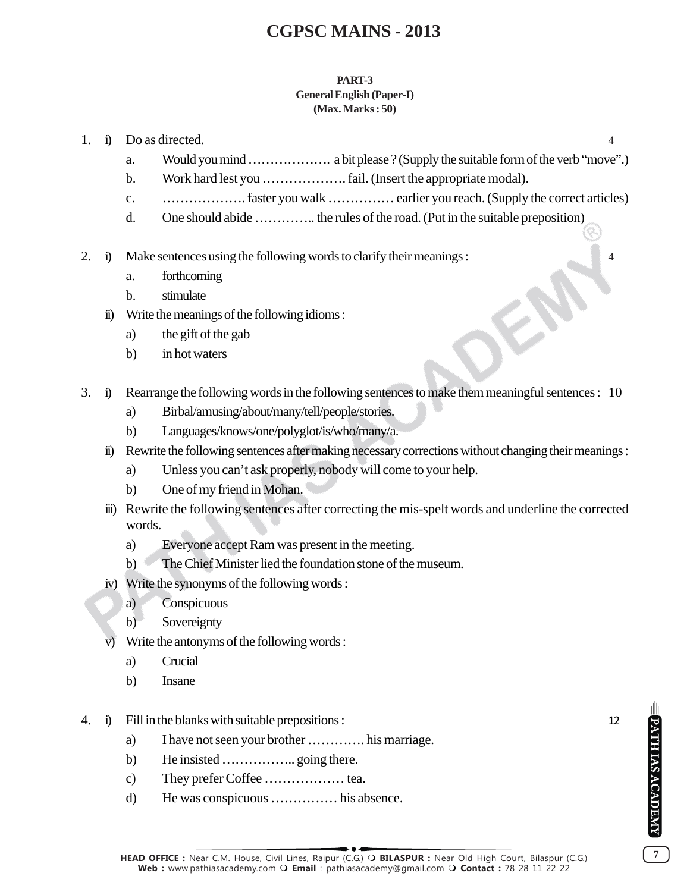#### **PART-3 General English (Paper-I) (Max. Marks : 50)**

- 1. i) Do as directed. 4
	- a. Would you mind ………………. a bit please ? (Supply the suitable form of the verb "move".)
	- b. Work hard lest you ………………. fail. (Insert the appropriate modal).
	- c. ………………. faster you walk …………… earlier you reach. (Supply the correct articles)
	- d. One should abide ………….. the rules of the road. (Put in the suitable preposition)
- 2. i) Make sentences using the following words to clarify their meanings : 4
	- a. forthcoming
	- b. stimulate
	- ii) Write the meanings of the following idioms :
		- a) the gift of the gab
		- b) in hot waters
- 3. i) Rearrange the following words in the following sentences to make them meaningful sentences : 10
	- a) Birbal/amusing/about/many/tell/people/stories.
	- b) Languages/knows/one/polyglot/is/who/many/a.
	- ii) Rewrite the following sentences after making necessary corrections without changing their meanings :
		- a) Unless you can't ask properly, nobody will come to your help.
		- b) One of my friend in Mohan.
	- iii) Rewrite the following sentences after correcting the mis-spelt words and underline the corrected words.
		- a) Everyone accept Ram was present in the meeting.
		- b) The Chief Minister lied the foundation stone of the museum.
	- iv) Write the synonyms of the following words :
		- a) Conspicuous
		- b) Sovereignty
	- v) Write the antonyms of the following words :
		- a) Crucial
		- b) Insane
- 4. i) Fill in the blanks with suitable prepositions : 12
	- a) I have not seen your brother …………. his marriage.
	- b) He insisted ………………………. going there.
	- c) They prefer Coffee ……………… tea.
	- d) He was conspicuous …………… his absence.

**7**

PATH IAS ACADEMY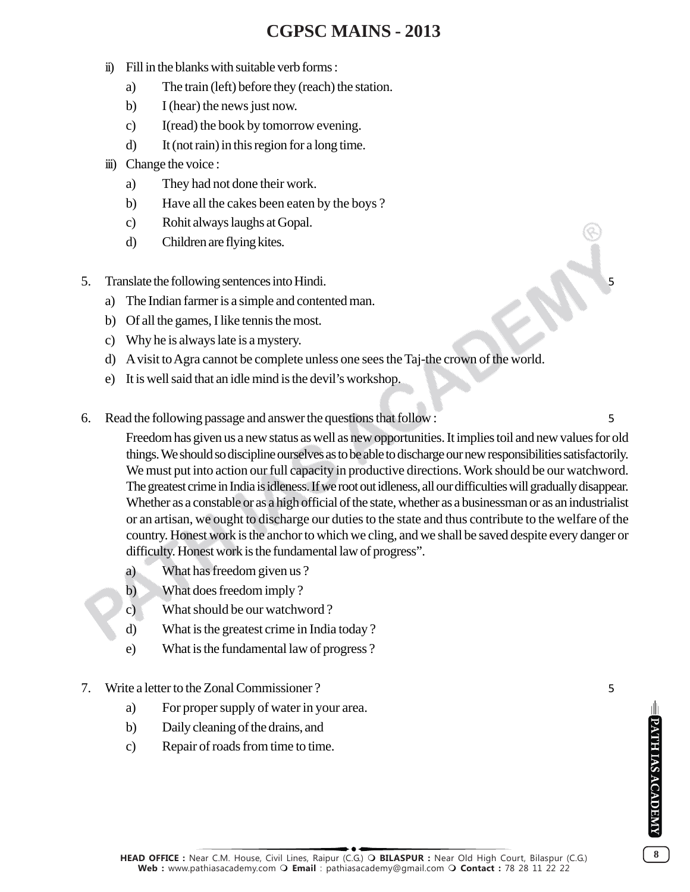- ii) Fill in the blanks with suitable verb forms :
	- a) The train (left) before they (reach) the station.
	- b) I (hear) the news just now.
	- c) I(read) the book by tomorrow evening.
	- d) It (not rain) in this region for a long time.
- iii) Change the voice :
	- a) They had not done their work.
	- b) Have all the cakes been eaten by the boys ?
	- c) Rohit always laughs at Gopal.
	- d) Children are flying kites.
- 5. Translate the following sentences into Hindi. 5
	- a) The Indian farmer is a simple and contented man.
	- b) Of all the games, I like tennis the most.
	- c) Why he is always late is a mystery.
	- d) A visit to Agra cannot be complete unless one sees the Taj-the crown of the world.
	- e) It is well said that an idle mind is the devil's workshop.
- 6. Read the following passage and answer the questions that follow : 5

Freedom has given us a new status as well as new opportunities. It implies toil and new values for old things. We should so discipline ourselves as to be able to discharge our new responsibilities satisfactorily. We must put into action our full capacity in productive directions. Work should be our watchword. The greatest crime in India is idleness. If we root out idleness, all our difficulties will gradually disappear. Whether as a constable or as a high official of the state, whether as a businessman or as an industrialist or an artisan, we ought to discharge our duties to the state and thus contribute to the welfare of the country. Honest work is the anchor to which we cling, and we shall be saved despite every danger or difficulty. Honest work is the fundamental law of progress".

- a) What has freedom given us ?
- b) What does freedom imply ?
- c) What should be our watchword ?
- d) What is the greatest crime in India today ?
- e) What is the fundamental law of progress ?
- 7. Write a letter to the Zonal Commissioner ? 5
	- a) For proper supply of water in your area.
	- b) Daily cleaning of the drains, and
	- c) Repair of roads from time to time.

**8**

PATH IAS ACADEMY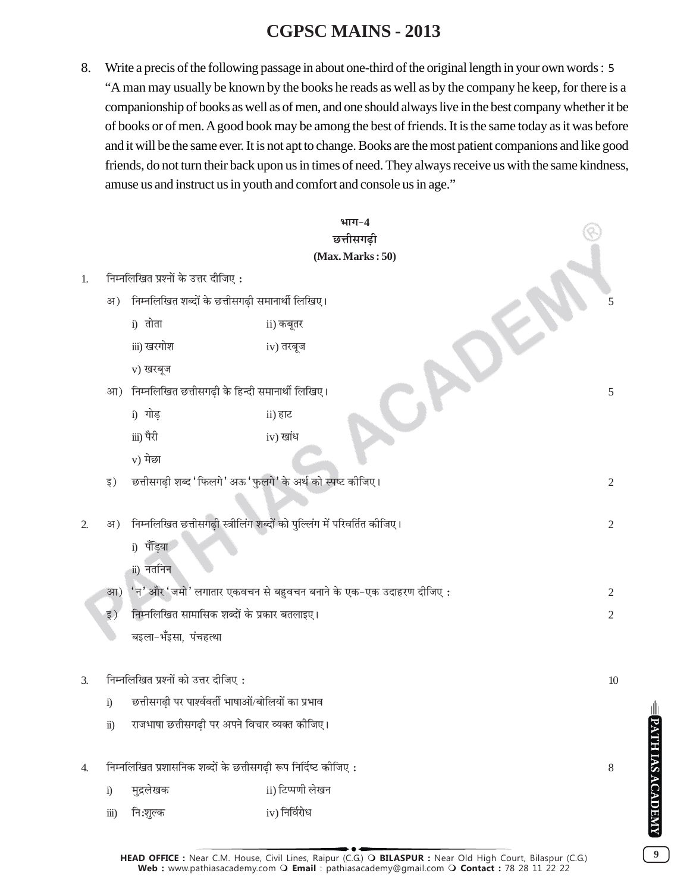8. Write a precis of the following passage in about one-third of the original length in your own words : 5 "A man may usually be known by the books he reads as well as by the company he keep, for there is a companionship of books as well as of men, and one should always live in the best company whether it be of books or of men. A good book may be among the best of friends. It is the same today as it was before and it will be the same ever. It is not apt to change. Books are the most patient companions and like good friends, do not turn their back upon us in times of need. They always receive us with the same kindness, amuse us and instruct us in youth and comfort and console us in age."

|                                           |                                                                   |                                                                          | भाग $-4$<br>छत्तीसगढ़ी |                |  |  |  |  |
|-------------------------------------------|-------------------------------------------------------------------|--------------------------------------------------------------------------|------------------------|----------------|--|--|--|--|
|                                           |                                                                   |                                                                          | (Max. Marks:50)        |                |  |  |  |  |
| 1.                                        |                                                                   | निम्नलिखित प्रश्नों के उत्तर दीजिए:                                      |                        |                |  |  |  |  |
|                                           | अ)                                                                | निम्नलिखित शब्दों के छत्तीसगढ़ी समानार्थी लिखिए।                         |                        |                |  |  |  |  |
|                                           |                                                                   | i) तोता                                                                  | ii) कबूतर              |                |  |  |  |  |
|                                           |                                                                   | iii) खरगोश                                                               | iv) तरबूज              |                |  |  |  |  |
|                                           |                                                                   | v) खरबूज                                                                 |                        |                |  |  |  |  |
|                                           | आ)                                                                | निम्नलिखित छत्तीसगढ़ी के हिन्दी समानार्थी लिखिए।                         |                        | 5              |  |  |  |  |
|                                           |                                                                   | i) गोड़                                                                  | ii) हाट                |                |  |  |  |  |
|                                           |                                                                   | iii) पैरी                                                                | iv) खांध               |                |  |  |  |  |
|                                           |                                                                   | v) मेछा                                                                  |                        |                |  |  |  |  |
|                                           | इ)                                                                | छत्तीसगढ़ी शब्द 'फिलगे' अऊ 'फुलगे' के अर्थ को स्पष्ट कीजिए।              |                        | $\overline{2}$ |  |  |  |  |
|                                           |                                                                   |                                                                          |                        |                |  |  |  |  |
| 2.                                        | अ)                                                                | निम्नलिखित छत्तीसगढ़ी स्त्रीलिंग शब्दों को पुल्लिंग में परिवर्तित कीजिए। |                        |                |  |  |  |  |
|                                           |                                                                   | i) पॅड़िया                                                               |                        |                |  |  |  |  |
|                                           |                                                                   | ii) नतनिन                                                                |                        |                |  |  |  |  |
|                                           | आ)                                                                | 'न' और 'जमो' लगातार एकवचन से बहुवचन बनाने के एक-एक उदाहरण दीजिए:         |                        |                |  |  |  |  |
|                                           | इ)                                                                | निम्नलिखित सामासिक शब्दों के प्रकार बतलाइए।                              |                        |                |  |  |  |  |
|                                           |                                                                   | बइला-भँइसा, पंचहत्था                                                     |                        |                |  |  |  |  |
|                                           |                                                                   |                                                                          |                        |                |  |  |  |  |
| निम्नलिखित प्रश्नों को उत्तर दीजिए:<br>3. |                                                                   |                                                                          |                        | 10             |  |  |  |  |
|                                           | छत्तीसगढ़ी पर पार्श्ववर्ती भाषाओं/बोलियों का प्रभाव<br>$\ddot{1}$ |                                                                          |                        |                |  |  |  |  |
|                                           |                                                                   | राजभाषा छत्तीसगढ़ी पर अपने विचार व्यक्त कीजिए।<br>$\ddot{\textbf{i}})$   |                        |                |  |  |  |  |
| 4.                                        |                                                                   | निम्नलिखित प्रशासनिक शब्दों के छत्तीसगढ़ी रूप निर्दिष्ट कीजिए:           |                        | 8              |  |  |  |  |
|                                           | $\ddot{i}$                                                        | मुद्रलेखक                                                                | ii) टिप्पणी लेखन       |                |  |  |  |  |
|                                           | $\dddot{\text{iii}})$                                             | नि:शुल्क                                                                 | iv) निर्विरोध          |                |  |  |  |  |

**9**